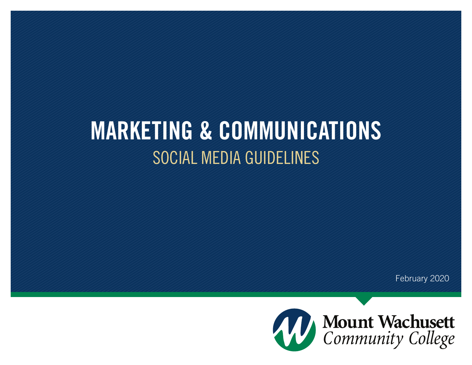# MARKETING & COMMUNICATIONS SOCIAL MEDIA GUIDELINES

February 2020

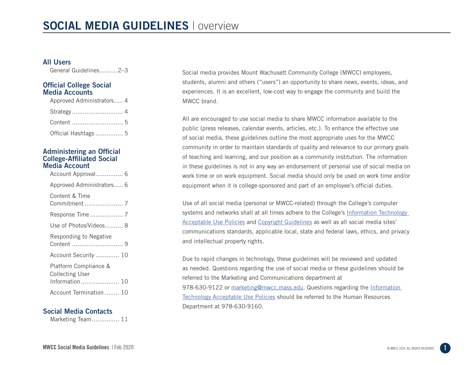#### All Users

General Guidelines..........2–3

#### Official College Social Media Accounts

| Approved Administrators 4 |  |
|---------------------------|--|
|                           |  |
|                           |  |
| Official Hashtags  5      |  |

#### Administering an Official College-Affiliated Social Media Account

| Account Approval 6                                                 |
|--------------------------------------------------------------------|
| Approved Administrators 6                                          |
| Content & Time                                                     |
| Response Time  7                                                   |
| Use of Photos/Videos 8                                             |
| Responding to Negative                                             |
| Account Security  10                                               |
| Platform Compliance &<br><b>Collecting User</b><br>Information  10 |
| Account Termination  10                                            |

#### Social Media Contacts

Marketing Team............... 11

Social media provides Mount Wachusett Community College (MWCC) employees, students, alumni and others ("users") an opportunity to share news, events, ideas, and experiences. It is an excellent, low-cost way to engage the community and build the MWCC brand.

All are encouraged to use social media to share MWCC information available to the public (press releases, calendar events, articles, etc.). To enhance the effective use of social media, these guidelines outline the most appropriate uses for the MWCC community in order to maintain standards of quality and relevance to our primary goals of teaching and learning, and our position as a community institution. The information in these guidelines is not in any way an endorsement of personal use of social media on work time or on work equipment. Social media should only be used on work time and/or equipment when it is college-sponsored and part of an employee's official duties.

Use of all social media (personal or MWCC-related) through the College's computer systems and networks shall at all times adhere to the College's Information Technology Acceptable Use Policies and Copyright Guidelines as well as all social media sites' communications standards, applicable local, state and federal laws, ethics, and privacy and intellectual property rights.

Due to rapid changes in technology, these guidelines will be reviewed and updated as needed. Questions regarding the use of social media or these guidelines should be referred to the Marketing and Communications department at 978-630-9122 or marketing@mwcc.mass.edu. Questions regarding the Information Technology Acceptable Use Policies should be referred to the Human Resources Department at 978-630-9160.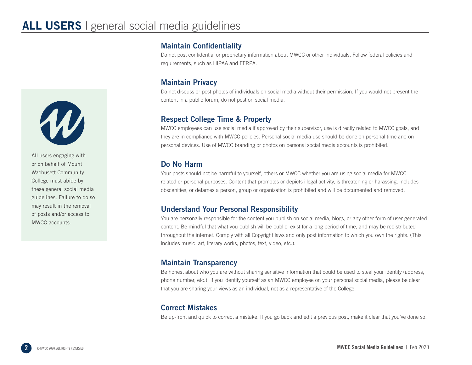

All users engaging with or on behalf of Mount Wachusett Community College must abide by these general social media guidelines. Failure to do so may result in the removal of posts and/or access to MWCC accounts.

#### Maintain Confidentiality

Do not post confidential or proprietary information about MWCC or other individuals. Follow federal policies and requirements, such as HIPAA and FERPA.

#### Maintain Privacy

Do not discuss or post photos of individuals on social media without their permission. If you would not present the content in a public forum, do not post on social media.

#### Respect College Time & Property

MWCC employees can use social media if approved by their supervisor, use is directly related to MWCC goals, and they are in compliance with MWCC policies. Personal social media use should be done on personal time and on personal devices. Use of MWCC branding or photos on personal social media accounts is prohibited.

#### Do No Harm

Your posts should not be harmful to yourself, others or MWCC whether you are using social media for MWCCrelated or personal purposes. Content that promotes or depicts illegal activity, is threatening or harassing, includes obscenities, or defames a person, group or organization is prohibited and will be documented and removed.

#### Understand Your Personal Responsibility

You are personally responsible for the content you publish on social media, blogs, or any other form of user-generated content. Be mindful that what you publish will be public, exist for a long period of time, and may be redistributed throughout the internet. Comply with all Copyright laws and only post information to which you own the rights. (This includes music, art, literary works, photos, text, video, etc.).

#### Maintain Transparency

Be honest about who you are without sharing sensitive information that could be used to steal your identity (address, phone number, etc.). If you identify yourself as an MWCC employee on your personal social media, please be clear that you are sharing your views as an individual, not as a representative of the College.

### Correct Mistakes

Be up-front and quick to correct a mistake. If you go back and edit a previous post, make it clear that you've done so.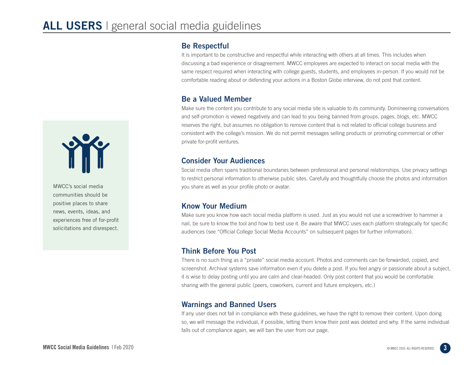#### Be Respectful

It is important to be constructive and respectful while interacting with others at all times. This includes when discussing a bad experience or disagreement. MWCC employees are expected to interact on social media with the same respect required when interacting with college guests, students, and employees in-person. If you would not be comfortable reading about or defending your actions in a Boston Globe interview, do not post that content.

#### Be a Valued Member

Make sure the content you contribute to any social media site is valuable to its community. Domineering conversations and self-promotion is viewed negatively and can lead to you being banned from groups, pages, blogs, etc. MWCC reserves the right, but assumes no obligation to remove content that is not related to official college business and consistent with the college's mission. We do not permit messages selling products or promoting commercial or other private for-profit ventures.

#### Consider Your Audiences

Social media often spans traditional boundaries between professional and personal relationships. Use privacy settings to restrict personal information to otherwise public sites. Carefully and thoughtfully choose the photos and information you share as well as your profile photo or avatar.

#### Know Your Medium

Make sure you know how each social media platform is used. Just as you would not use a screwdriver to hammer a nail, be sure to know the tool and how to best use it. Be aware that MWCC uses each platform strategically for specific audiences (see "Official College Social Media Accounts" on subsequent pages for further information).

#### Think Before You Post

There is no such thing as a "private" social media account. Photos and comments can be forwarded, copied, and screenshot. Archival systems save information even if you delete a post. If you feel angry or passionate about a subject, it is wise to delay posting until you are calm and clear-headed. Only post content that you would be comfortable sharing with the general public (peers, coworkers, current and future employers, etc.)

#### Warnings and Banned Users

If any user does not fall in compliance with these guidelines, we have the right to remove their content. Upon doing so, we will message the individual, if possible, letting them know their post was deleted and why. If the same individual falls out of compliance again, we will ban the user from our page.



MWCC's social media communities should be positive places to share news, events, ideas, and experiences free of for-profit solicitations and disrespect.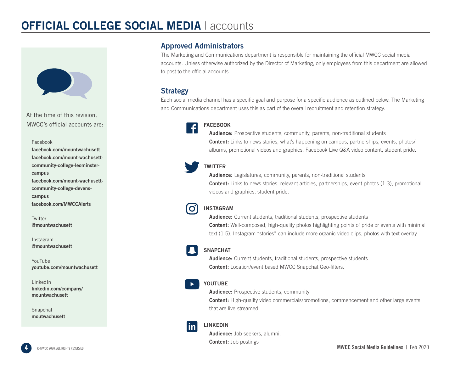## **OFFICIAL COLLEGE SOCIAL MEDIA | accounts**



At the time of this revision, MWCC's official accounts are:

Facebook

facebook.com/mountwachusett facebook.com/mount-wachusettcommunity-college-leominstercampus facebook.com/mount-wachusettcommunity-college-devenscampus facebook.com/MWCCAlerts

**Twitter** @mountwachusett

Instagram @mountwachusett

YouTube youtube.com/mountwachusett

LinkedIn linkedin.com/company/ mountwachusett

Snapchat moutwachusett

#### Approved Administrators

The Marketing and Communications department is responsible for maintaining the official MWCC social media accounts. Unless otherwise authorized by the Director of Marketing, only employees from this department are allowed to post to the official accounts.

#### Strategy

Each social media channel has a specific goal and purpose for a specific audience as outlined below. The Marketing and Communications department uses this as part of the overall recruitment and retention strategy.



#### **FACEBOOK**

Audience: Prospective students, community, parents, non-traditional students **Content:** Links to news stories, what's happening on campus, partnerships, events, photos/ albums, promotional videos and graphics, Facebook Live Q&A video content, student pride.

#### **TWITTER**

Audience: Legislatures, community, parents, non-traditional students

**Content:** Links to news stories, relevant articles, partnerships, event photos (1-3), promotional videos and graphics, student pride.

#### INSTAGRAM

 $\mathbf{O}$ 

Audience: Current students, traditional students, prospective students **Content:** Well-composed, high-quality photos highlighting points of pride or events with minimal text (1-5), Instagram "stories" can include more organic video clips, photos with text overlay

#### SNAPCHAT

Audience: Current students, traditional students, prospective students Content: Location/event based MWCC Snapchat Geo-filters.

#### YOUTUBE

**Audience:** Prospective students, community **Content:** High-quality video commercials/promotions, commencement and other large events that are live-streamed

#### $\mathbf{m}$

LINKEDIN

Audience: Job seekers, alumni. **Content:** Job postings

4 © MWCC 2020. ALL RIGHTS RESERVED. MWCC Social Media Guidelines | Feb 2020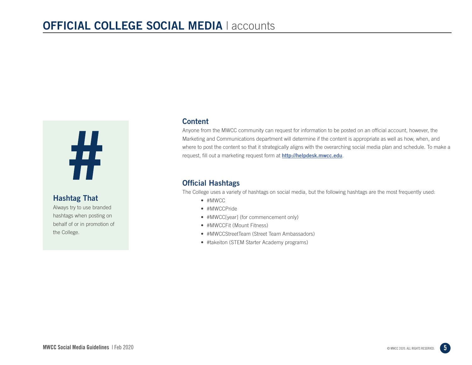# #

#### Hashtag That

Always try to use branded hashtags when posting on behalf of or in promotion of the College.

#### **Content**

Anyone from the MWCC community can request for information to be posted on an official account, however, the Marketing and Communications department will determine if the content is appropriate as well as how, when, and where to post the content so that it strategically aligns with the overarching social media plan and schedule. To make a request, fill out a marketing request form at **http://helpdesk.mwcc.edu**.

#### Official Hashtags

The College uses a variety of hashtags on social media, but the following hashtags are the most frequently used:

- #MWCC
- #MWCCPride
- #MWCC[year] (for commencement only)
- #MWCCFit (Mount Fitness)
- #MWCCStreetTeam (Street Team Ambassadors)
- #takeiton (STEM Starter Academy programs)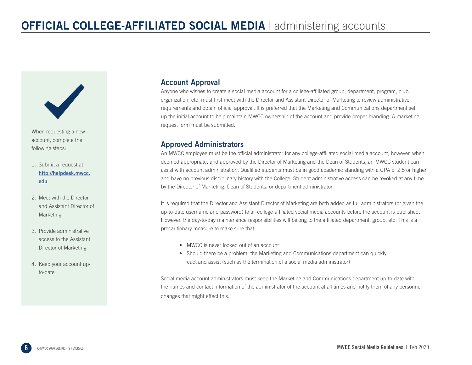

When requesting a new account, complete the following steps:

- 1. Submit a request at http://helpdesk.mwcc. edu
- 2. Meet with the Director and Assistant Director of Marketing
- 3. Provide administrative access to the Assistant Director of Marketing
- 4. Keep your account upto-date

#### Account Approval

Anyone who wishes to create a social media account for a college-affiliated group, department, program, club, organization, etc. must first meet with the Director and Assistant Director of Marketing to review administrative requirements and obtain official approval. It is preferred that the Marketing and Communications department set up the initial account to help maintain MWCC ownership of the account and provide proper branding. A marketing request form must be submitted.

#### Approved Administrators

An MWCC employee must be the official administrator for any college-affiliated social media account, however, when deemed appropriate, and approved by the Director of Marketing and the Dean of Students, an MWCC student can assist with account administration. Qualified students must be in good academic standing with a GPA of 2.5 or higher and have no previous disciplinary history with the College. Student administrative access can be revoked at any time by the Director of Marketing, Dean of Students, or department administrator.

It is required that the Director and Assistant Director of Marketing are both added as full administrators (or given the up-to-date username and password) to all college-affiliated social media accounts before the account is published. However, the day-to-day maintenance responsibilities will belong to the affiliated department, group, etc. This is a precautionary measure to make sure that:

- MWCC is never locked out of an account
- Should there be a problem, the Marketing and Communications department can quickly react and assist (such as the termination of a social media administrator)

Social media account administrators must keep the Marketing and Communications department up-to-date with the names and contact information of the administrator of the account at all times and notify them of any personnel changes that might effect this.

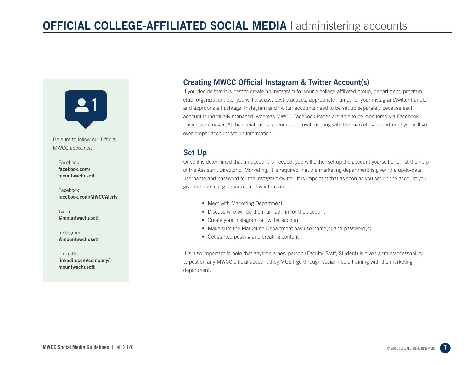

Be sure to follow our Official MWCC accounts:

Facebook facebook.com/ mountwachusett

Facebook facebook.com/MWCCAlerts

**Twitter** @mountwachusett

Instagram @mountwachusett

LinkedIn linkedin.com/company/ mountwachusett

#### Creating MWCC Official Instagram & Twitter Account(s)

If you decide that it is best to create an instagram for your a college-affiliated group, department, program, club, organization, etc. you will discuss, best practices, appropriate names for your instagram/twitter handle and appropriate hashtags. Instagram and Twitter accounts need to be set up separately because each account is indiviually managed, whereas MWCC Facebook Pages are able to be monitored via Facebook business manager. At the social media account approval meeting with the marketing department you will go over proper account set up information.

#### Set Up

Once it is determined that an account is needed, you will either set up the account yourself or enlist the help of the Assistant Director of Marketing. It is required that the marketing department is given the up-to-date username and password for the instagram/twitter. It is important that as soon as you set up the account you give the marketing department this information.

- Meet with Marketing Department
- Discuss who will be the main admin for the account
- Create your Instagram or Twitter account
- Make sure the Marketing Department has username(s) and password(s)
- Get started posting and creating content

It is also important to note that anytime a new person (Faculty, Staff, Student) is given admin/accessability to post on any MWCC official account they MUST go through social media training with the marketing department.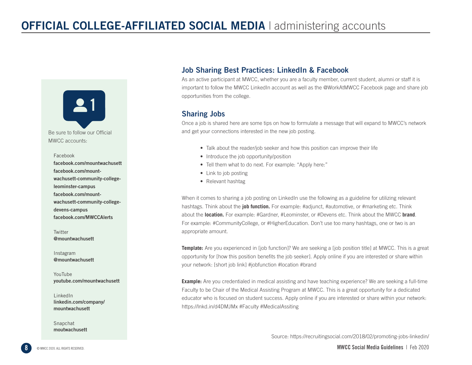

Be sure to follow our Official MWCC accounts:

#### Facebook

facebook.com/mountwachusett facebook.com/mountwachusett-community-collegeleominster-campus facebook.com/mountwachusett-community-collegedevens-campus facebook.com/MWCCAlerts

**Twitter** @mountwachusett

Instagram @mountwachusett

YouTube youtube.com/mountwachusett

LinkedIn linkedin.com/company/ mountwachusett

moutwachusett

Snapchat

#### Job Sharing Best Practices: LinkedIn & Facebook

As an active participant at MWCC, whether you are a faculty member, current student, alumni or staff it is important to follow the MWCC LinkedIn account as well as the @WorkAtMWCC Facebook page and share job opportunities from the college.

#### Sharing Jobs

Once a job is shared here are some tips on how to formulate a message that will expand to MWCC's network and get your connections interested in the new job posting.

- Talk about the reader/job seeker and how this position can improve their life
- Introduce the job opportunity/position
- Tell them what to do next. For example: "Apply here:"
- Link to job posting
- Relevant hashtag

When it comes to sharing a job posting on LinkedIn use the following as a guideline for utilizing relevant hashtags. Think about the **job function.** For example: #adjunct, #automotive, or #marketing etc. Think about the **location.** For example: #Gardner, #Leominster, or #Devens etc. Think about the MWCC **brand**. For example: #CommunityCollege, or #HigherEducation. Don't use too many hashtags, one or two is an appropriate amount.

**Template:** Are you experienced in [job function]? We are seeking a [job position title] at MWCC. This is a great opportunity for [how this position benefits the job seeker]. Apply online if you are interested or share within your network: [short job link] #jobfunction #location #brand

**Example:** Are you credentialed in medical assisting and have teaching experience? We are seeking a full-time Faculty to be Chair of the Medical Assisting Program at MWCC. This is a great opportunity for a dedicated educator who is focused on student success. Apply online if you are interested or share within your network: https://lnkd.in/d4DMJMx #Faculty #MedicalAssiting

Source: https://recruitingsocial.com/2018/02/promoting-jobs-linkedin/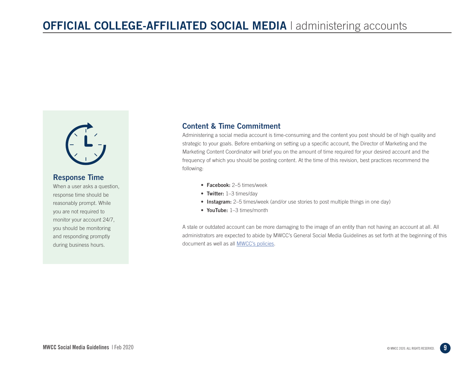

#### Response Time

When a user asks a question, response time should be reasonably prompt. While you are not required to monitor your account 24/7, you should be monitoring and responding promptly during business hours.

#### Content & Time Commitment

Administering a social media account is time-consuming and the content you post should be of high quality and strategic to your goals. Before embarking on setting up a specific account, the Director of Marketing and the Marketing Content Coordinator will brief you on the amount of time required for your desired account and the frequency of which you should be posting content. At the time of this revision, best practices recommend the following:

- Facebook: 2–5 times/week
- Twitter: 1-3 times/day
- Instagram: 2–5 times/week (and/or use stories to post multiple things in one day)
- YouTube: 1-3 times/month

A stale or outdated account can be more damaging to the image of an entity than not having an account at all. All administrators are expected to abide by MWCC's General Social Media Guidelines as set forth at the beginning of this document as well as all MWCC's policies.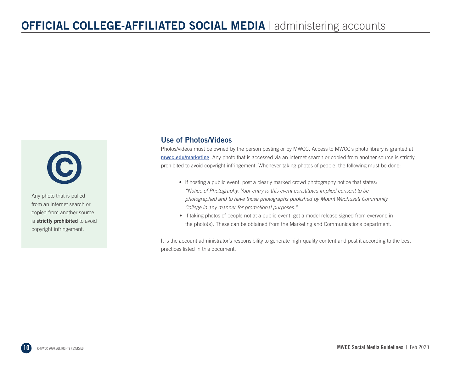$\mathbf{C}$ 

Any photo that is pulled from an internet search or copied from another source is strictly prohibited to avoid copyright infringement.

#### Use of Photos/Videos

Photos/videos must be owned by the person posting or by MWCC. Access to MWCC's photo library is granted at mwcc.edu/marketing. Any photo that is accessed via an internet search or copied from another source is strictly prohibited to avoid copyright infringement. Whenever taking photos of people, the following must be done:

- If hosting a public event, post a clearly marked crowd photography notice that states: *"Notice of Photography. Your entry to this event constitutes implied consent to be photographed and to have those photographs published by Mount Wachusett Community College in any manner for promotional purposes."*
- If taking photos of people not at a public event, get a model release signed from everyone in the photo(s). These can be obtained from the Marketing and Communications department.

It is the account administrator's responsibility to generate high-quality content and post it according to the best practices listed in this document.

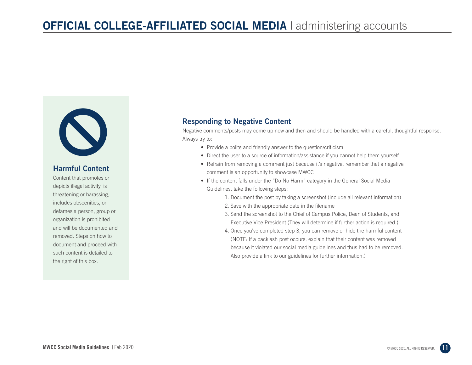

#### Harmful Content

Content that promotes or depicts illegal activity, is threatening or harassing, includes obscenities, or defames a person, group or organization is prohibited and will be documented and removed. Steps on how to document and proceed with such content is detailed to the right of this box.

#### Responding to Negative Content

Negative comments/posts may come up now and then and should be handled with a careful, thoughtful response. Always try to:

- Provide a polite and friendly answer to the question/criticism
- Direct the user to a source of information/assistance if you cannot help them yourself
- Refrain from removing a comment just because it's negative, remember that a negative comment is an opportunity to showcase MWCC
- If the content falls under the "Do No Harm" category in the General Social Media Guidelines, take the following steps:
	- 1. Document the post by taking a screenshot (include all relevant information)
	- 2. Save with the appropriate date in the filename
	- 3. Send the screenshot to the Chief of Campus Police, Dean of Students, and Executive Vice President (They will determine if further action is required.)
	- 4. Once you've completed step 3, you can remove or hide the harmful content (NOTE: If a backlash post occurs, explain that their content was removed because it violated our social media guidelines and thus had to be removed. Also provide a link to our guidelines for further information.)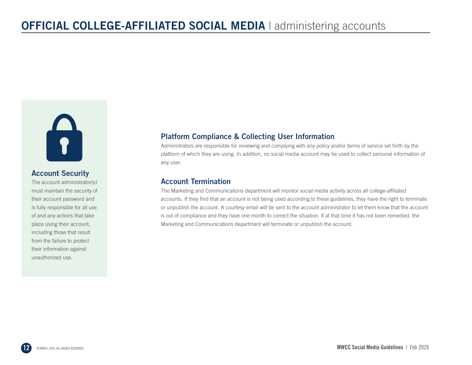

#### Account Security

The account administrator(s) must maintain the security of their account password and is fully responsible for all use of and any actions that take place using their account, including those that result from the failure to protect their information against unauthorized use.

#### Platform Compliance & Collecting User Information

Administrators are responsible for reviewing and complying with any policy and/or terms of service set forth by the platform of which they are using. In addition, no social media account may be used to collect personal information of any user.

#### Account Termination

The Marketing and Communications department will monitor social media activity across all college-affiliated accounts. If they find that an account is not being used according to these guidelines, they have the right to terminate or unpublish the account. A courtesy email will be sent to the account administrator to let them know that the account is out of compliance and they have one month to correct the situation. If at that time it has not been remedied, the Marketing and Communications department will terminate or unpublish the account.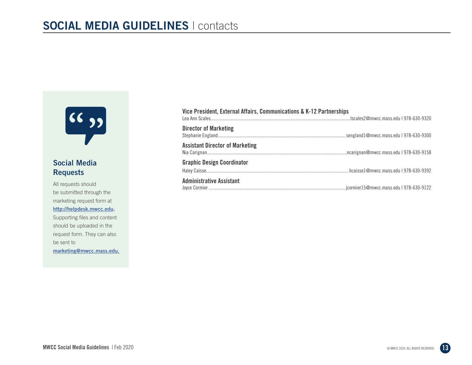

#### Social Media Requests

All requests should be submitted through the marketing request form at http://helpdesk.mwcc.edu. Supporting files and content should be uploaded in the request form. They can also be sent to marketing@mwcc.mass.edu.

| Vice President, External Affairs, Communications & K-12 Partnerships |  |
|----------------------------------------------------------------------|--|
| <b>Director of Marketing</b>                                         |  |
| <b>Assistant Director of Marketing</b>                               |  |
| <b>Graphic Design Coordinator</b>                                    |  |
| <b>Administrative Assistant</b>                                      |  |